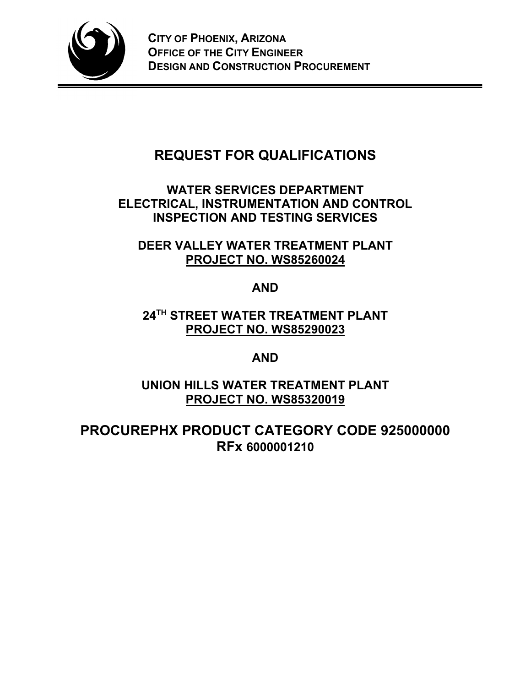

# **REQUEST FOR QUALIFICATIONS**

# **WATER SERVICES DEPARTMENT ELECTRICAL, INSTRUMENTATION AND CONTROL INSPECTION AND TESTING SERVICES**

**DEER VALLEY WATER TREATMENT PLANT PROJECT NO. WS85260024**

**AND**

**24TH STREET WATER TREATMENT PLANT PROJECT NO. WS85290023**

**AND**

**UNION HILLS WATER TREATMENT PLANT PROJECT NO. WS85320019**

**PROCUREPHX PRODUCT CATEGORY CODE 925000000 RFx 6000001210**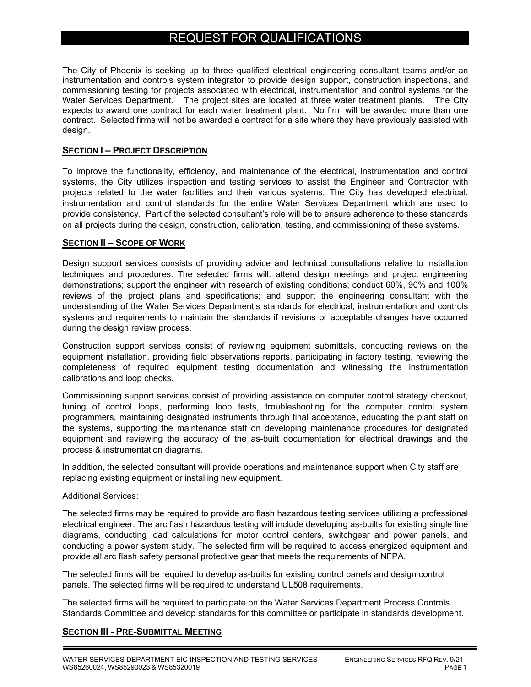# REQUEST FOR QUALIFICATIONS

The City of Phoenix is seeking up to three qualified electrical engineering consultant teams and/or an instrumentation and controls system integrator to provide design support, construction inspections, and commissioning testing for projects associated with electrical, instrumentation and control systems for the Water Services Department. The project sites are located at three water treatment plants. The City expects to award one contract for each water treatment plant. No firm will be awarded more than one contract. Selected firms will not be awarded a contract for a site where they have previously assisted with design.

# **SECTION I – PROJECT DESCRIPTION**

To improve the functionality, efficiency, and maintenance of the electrical, instrumentation and control systems, the City utilizes inspection and testing services to assist the Engineer and Contractor with projects related to the water facilities and their various systems. The City has developed electrical, instrumentation and control standards for the entire Water Services Department which are used to provide consistency. Part of the selected consultant's role will be to ensure adherence to these standards on all projects during the design, construction, calibration, testing, and commissioning of these systems.

#### **SECTION II – SCOPE OF WORK**

Design support services consists of providing advice and technical consultations relative to installation techniques and procedures. The selected firms will: attend design meetings and project engineering demonstrations; support the engineer with research of existing conditions; conduct 60%, 90% and 100% reviews of the project plans and specifications; and support the engineering consultant with the understanding of the Water Services Department's standards for electrical, instrumentation and controls systems and requirements to maintain the standards if revisions or acceptable changes have occurred during the design review process.

Construction support services consist of reviewing equipment submittals, conducting reviews on the equipment installation, providing field observations reports, participating in factory testing, reviewing the completeness of required equipment testing documentation and witnessing the instrumentation calibrations and loop checks.

Commissioning support services consist of providing assistance on computer control strategy checkout, tuning of control loops, performing loop tests, troubleshooting for the computer control system programmers, maintaining designated instruments through final acceptance, educating the plant staff on the systems, supporting the maintenance staff on developing maintenance procedures for designated equipment and reviewing the accuracy of the as-built documentation for electrical drawings and the process & instrumentation diagrams.

In addition, the selected consultant will provide operations and maintenance support when City staff are replacing existing equipment or installing new equipment.

#### Additional Services:

The selected firms may be required to provide arc flash hazardous testing services utilizing a professional electrical engineer. The arc flash hazardous testing will include developing as-builts for existing single line diagrams, conducting load calculations for motor control centers, switchgear and power panels, and conducting a power system study. The selected firm will be required to access energized equipment and provide all arc flash safety personal protective gear that meets the requirements of NFPA.

The selected firms will be required to develop as-builts for existing control panels and design control panels. The selected firms will be required to understand UL508 requirements.

The selected firms will be required to participate on the Water Services Department Process Controls Standards Committee and develop standards for this committee or participate in standards development.

#### **SECTION III - PRE-SUBMITTAL MEETING**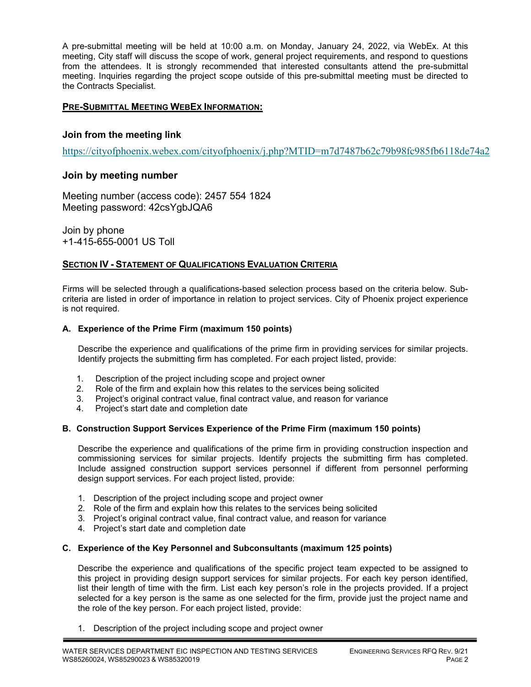A pre-submittal meeting will be held at 10:00 a.m. on Monday, January 24, 2022, via WebEx. At this meeting, City staff will discuss the scope of work, general project requirements, and respond to questions from the attendees. It is strongly recommended that interested consultants attend the pre-submittal meeting. Inquiries regarding the project scope outside of this pre-submittal meeting must be directed to the Contracts Specialist.

# **PRE-SUBMITTAL MEETING WEBEX INFORMATION:**

# **Join from the meeting link**

[https://cityofphoenix.webex.com/cityofphoenix/j.php?MTID=m7d7487b62c79b98fc985fb6118de74a2](https://urldefense.com/v3/__https:/cityofphoenix.webex.com/cityofphoenix/j.php?MTID=m7d7487b62c79b98fc985fb6118de74a2__;!!LkjWUF49MRd51_ry!NnNJSbvuHMlw4J11GEGMMElFEBoUEWGKsd1SBA_sYsmS6s_Unr9oT9xVy9T0uL_ty-uAav5kXFQ$) 

# **Join by meeting number**

Meeting number (access code): 2457 554 1824 Meeting password: 42csYgbJQA6

Join by phone +1-415-655-0001 US Toll

# **SECTION IV - STATEMENT OF QUALIFICATIONS EVALUATION CRITERIA**

Firms will be selected through a qualifications-based selection process based on the criteria below. Subcriteria are listed in order of importance in relation to project services. City of Phoenix project experience is not required.

# **A. Experience of the Prime Firm (maximum 150 points)**

Describe the experience and qualifications of the prime firm in providing services for similar projects. Identify projects the submitting firm has completed. For each project listed, provide:

- 1. Description of the project including scope and project owner
- 2. Role of the firm and explain how this relates to the services being solicited
- 3. Project's original contract value, final contract value, and reason for variance
- 4. Project's start date and completion date

#### **B. Construction Support Services Experience of the Prime Firm (maximum 150 points)**

Describe the experience and qualifications of the prime firm in providing construction inspection and commissioning services for similar projects. Identify projects the submitting firm has completed. Include assigned construction support services personnel if different from personnel performing design support services. For each project listed, provide:

- 1. Description of the project including scope and project owner
- 2. Role of the firm and explain how this relates to the services being solicited
- 3. Project's original contract value, final contract value, and reason for variance
- 4. Project's start date and completion date

#### **C. Experience of the Key Personnel and Subconsultants (maximum 125 points)**

Describe the experience and qualifications of the specific project team expected to be assigned to this project in providing design support services for similar projects. For each key person identified, list their length of time with the firm. List each key person's role in the projects provided. If a project selected for a key person is the same as one selected for the firm, provide just the project name and the role of the key person. For each project listed, provide:

1. Description of the project including scope and project owner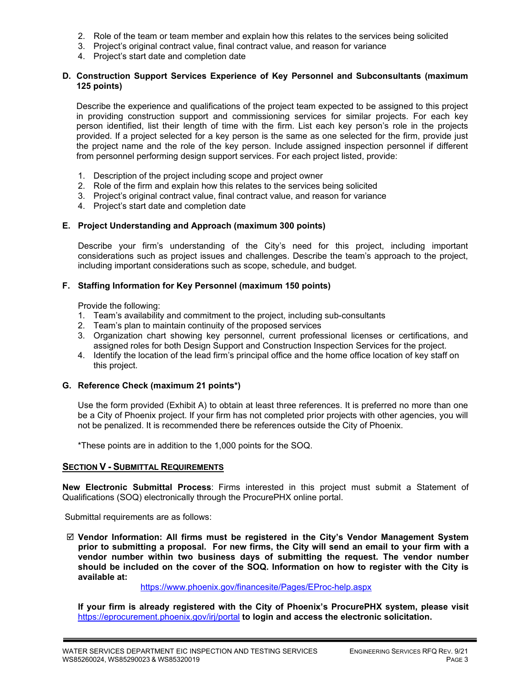- 2. Role of the team or team member and explain how this relates to the services being solicited
- 3. Project's original contract value, final contract value, and reason for variance
- 4. Project's start date and completion date

#### **D. Construction Support Services Experience of Key Personnel and Subconsultants (maximum 125 points)**

Describe the experience and qualifications of the project team expected to be assigned to this project in providing construction support and commissioning services for similar projects. For each key person identified, list their length of time with the firm. List each key person's role in the projects provided. If a project selected for a key person is the same as one selected for the firm, provide just the project name and the role of the key person. Include assigned inspection personnel if different from personnel performing design support services. For each project listed, provide:

- 1. Description of the project including scope and project owner
- 2. Role of the firm and explain how this relates to the services being solicited
- 3. Project's original contract value, final contract value, and reason for variance
- 4. Project's start date and completion date

#### **E. Project Understanding and Approach (maximum 300 points)**

Describe your firm's understanding of the City's need for this project, including important considerations such as project issues and challenges. Describe the team's approach to the project, including important considerations such as scope, schedule, and budget.

# **F. Staffing Information for Key Personnel (maximum 150 points)**

Provide the following:

- 1. Team's availability and commitment to the project, including sub-consultants
- 2. Team's plan to maintain continuity of the proposed services
- 3. Organization chart showing key personnel, current professional licenses or certifications, and assigned roles for both Design Support and Construction Inspection Services for the project.
- 4. Identify the location of the lead firm's principal office and the home office location of key staff on this project.

#### **G. Reference Check (maximum 21 points\*)**

Use the form provided (Exhibit A) to obtain at least three references. It is preferred no more than one be a City of Phoenix project. If your firm has not completed prior projects with other agencies, you will not be penalized. It is recommended there be references outside the City of Phoenix.

\*These points are in addition to the 1,000 points for the SOQ.

#### **SECTION V - SUBMITTAL REQUIREMENTS**

**New Electronic Submittal Process**: Firms interested in this project must submit a Statement of Qualifications (SOQ) electronically through the ProcurePHX online portal.

Submittal requirements are as follows:

 **Vendor Information: All firms must be registered in the City's Vendor Management System prior to submitting a proposal. For new firms, the City will send an email to your firm with a vendor number within two business days of submitting the request. The vendor number should be included on the cover of the SOQ. Information on how to register with the City is available at:** 

<https://www.phoenix.gov/financesite/Pages/EProc-help.aspx>

**If your firm is already registered with the City of Phoenix's ProcurePHX system, please visit**  <https://eprocurement.phoenix.gov/irj/portal> **to login and access the electronic solicitation.**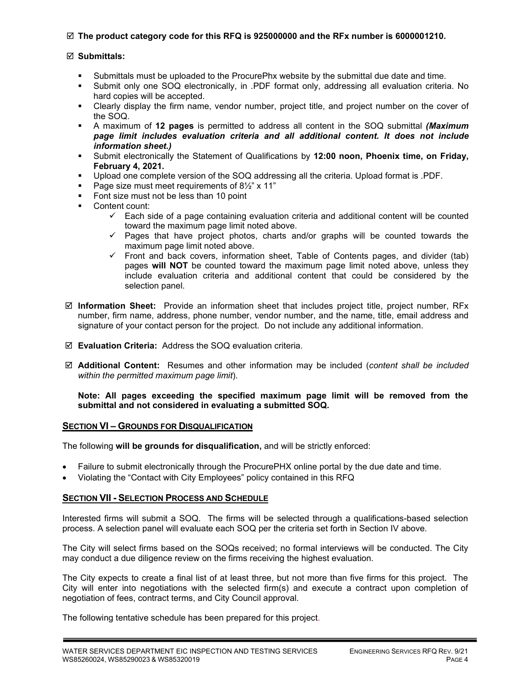# **The product category code for this RFQ is 925000000 and the RFx number is 6000001210.**

# **Submittals:**

- Submittals must be uploaded to the ProcurePhx website by the submittal due date and time.
- Submit only one SOQ electronically, in .PDF format only, addressing all evaluation criteria. No hard copies will be accepted.
- Clearly display the firm name, vendor number, project title, and project number on the cover of the SOQ.
- A maximum of **12 pages** is permitted to address all content in the SOQ submittal *(Maximum page limit includes evaluation criteria and all additional content. It does not include information sheet.)*
- Submit electronically the Statement of Qualifications by **12:00 noon, Phoenix time, on Friday, February 4, 2021.**
- Upload one complete version of the SOQ addressing all the criteria. Upload format is .PDF.
- Page size must meet requirements of  $8\frac{1}{2}$ " x 11"
- Font size must not be less than 10 point
- Content count:
	- $\checkmark$  Each side of a page containing evaluation criteria and additional content will be counted toward the maximum page limit noted above.
	- $\checkmark$  Pages that have project photos, charts and/or graphs will be counted towards the maximum page limit noted above.
	- $\checkmark$  Front and back covers, information sheet, Table of Contents pages, and divider (tab) pages **will NOT** be counted toward the maximum page limit noted above, unless they include evaluation criteria and additional content that could be considered by the selection panel.
- **Information Sheet:** Provide an information sheet that includes project title, project number, RFx number, firm name, address, phone number, vendor number, and the name, title, email address and signature of your contact person for the project. Do not include any additional information.
- **Evaluation Criteria:** Address the SOQ evaluation criteria.
- **Additional Content:** Resumes and other information may be included (*content shall be included within the permitted maximum page limit*).

**Note: All pages exceeding the specified maximum page limit will be removed from the submittal and not considered in evaluating a submitted SOQ.** 

# **SECTION VI – GROUNDS FOR DISQUALIFICATION**

The following **will be grounds for disqualification,** and will be strictly enforced:

- Failure to submit electronically through the ProcurePHX online portal by the due date and time.
- Violating the "Contact with City Employees" policy contained in this RFQ

# **SECTION VII - SELECTION PROCESS AND SCHEDULE**

Interested firms will submit a SOQ. The firms will be selected through a qualifications-based selection process. A selection panel will evaluate each SOQ per the criteria set forth in Section IV above.

The City will select firms based on the SOQs received; no formal interviews will be conducted. The City may conduct a due diligence review on the firms receiving the highest evaluation.

The City expects to create a final list of at least three, but not more than five firms for this project. The City will enter into negotiations with the selected firm(s) and execute a contract upon completion of negotiation of fees, contract terms, and City Council approval.

The following tentative schedule has been prepared for this project.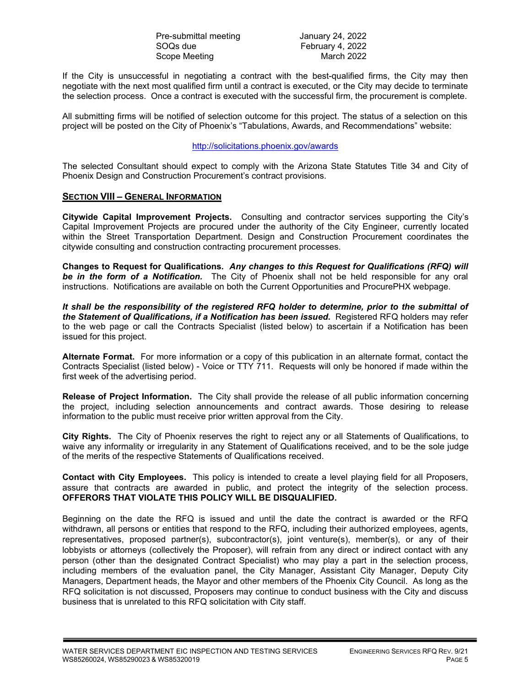Pre-submittal meeting January 24, 2022 SOQs due entitled and the February 4, 2022<br>Scope Meeting entitled and the March 2022 Scope Meeting

If the City is unsuccessful in negotiating a contract with the best-qualified firms, the City may then negotiate with the next most qualified firm until a contract is executed, or the City may decide to terminate the selection process. Once a contract is executed with the successful firm, the procurement is complete.

All submitting firms will be notified of selection outcome for this project. The status of a selection on this project will be posted on the City of Phoenix's "Tabulations, Awards, and Recommendations" website:

# <http://solicitations.phoenix.gov/awards>

The selected Consultant should expect to comply with the Arizona State Statutes Title 34 and City of Phoenix Design and Construction Procurement's contract provisions.

# **SECTION VIII – GENERAL INFORMATION**

**Citywide Capital Improvement Projects.** Consulting and contractor services supporting the City's Capital Improvement Projects are procured under the authority of the City Engineer, currently located within the Street Transportation Department. Design and Construction Procurement coordinates the citywide consulting and construction contracting procurement processes.

**Changes to Request for Qualifications.** *Any changes to this Request for Qualifications (RFQ) will be in the form of a Notification.* The City of Phoenix shall not be held responsible for any oral instructions. Notifications are available on both the Current Opportunities and ProcurePHX webpage.

*It shall be the responsibility of the registered RFQ holder to determine, prior to the submittal of the Statement of Qualifications, if a Notification has been issued***.** Registered RFQ holders may refer to the web page or call the Contracts Specialist (listed below) to ascertain if a Notification has been issued for this project.

**Alternate Format.** For more information or a copy of this publication in an alternate format, contact the Contracts Specialist (listed below) - Voice or TTY 711. Requests will only be honored if made within the first week of the advertising period.

**Release of Project Information.** The City shall provide the release of all public information concerning the project, including selection announcements and contract awards. Those desiring to release information to the public must receive prior written approval from the City.

**City Rights.** The City of Phoenix reserves the right to reject any or all Statements of Qualifications, to waive any informality or irregularity in any Statement of Qualifications received, and to be the sole judge of the merits of the respective Statements of Qualifications received.

**Contact with City Employees.** This policy is intended to create a level playing field for all Proposers, assure that contracts are awarded in public, and protect the integrity of the selection process. **OFFERORS THAT VIOLATE THIS POLICY WILL BE DISQUALIFIED.**

Beginning on the date the RFQ is issued and until the date the contract is awarded or the RFQ withdrawn, all persons or entities that respond to the RFQ, including their authorized employees, agents, representatives, proposed partner(s), subcontractor(s), joint venture(s), member(s), or any of their lobbyists or attorneys (collectively the Proposer), will refrain from any direct or indirect contact with any person (other than the designated Contract Specialist) who may play a part in the selection process, including members of the evaluation panel, the City Manager, Assistant City Manager, Deputy City Managers, Department heads, the Mayor and other members of the Phoenix City Council. As long as the RFQ solicitation is not discussed, Proposers may continue to conduct business with the City and discuss business that is unrelated to this RFQ solicitation with City staff.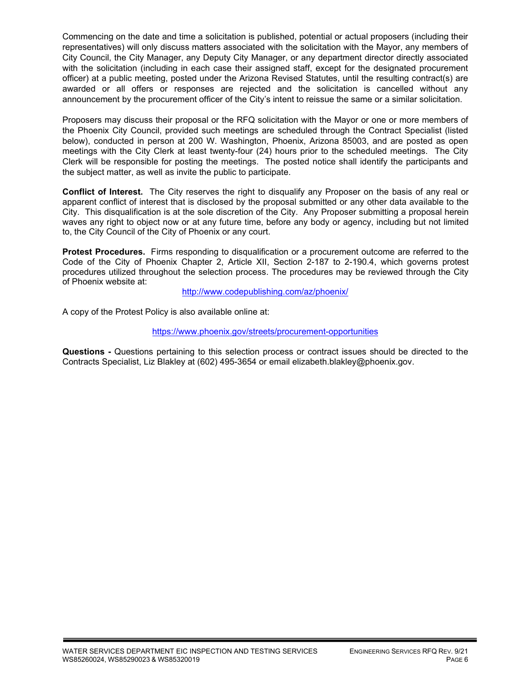Commencing on the date and time a solicitation is published, potential or actual proposers (including their representatives) will only discuss matters associated with the solicitation with the Mayor, any members of City Council, the City Manager, any Deputy City Manager, or any department director directly associated with the solicitation (including in each case their assigned staff, except for the designated procurement officer) at a public meeting, posted under the Arizona Revised Statutes, until the resulting contract(s) are awarded or all offers or responses are rejected and the solicitation is cancelled without any announcement by the procurement officer of the City's intent to reissue the same or a similar solicitation.

Proposers may discuss their proposal or the RFQ solicitation with the Mayor or one or more members of the Phoenix City Council, provided such meetings are scheduled through the Contract Specialist (listed below), conducted in person at 200 W. Washington, Phoenix, Arizona 85003, and are posted as open meetings with the City Clerk at least twenty-four (24) hours prior to the scheduled meetings. The City Clerk will be responsible for posting the meetings. The posted notice shall identify the participants and the subject matter, as well as invite the public to participate.

**Conflict of Interest.** The City reserves the right to disqualify any Proposer on the basis of any real or apparent conflict of interest that is disclosed by the proposal submitted or any other data available to the City. This disqualification is at the sole discretion of the City. Any Proposer submitting a proposal herein waves any right to object now or at any future time, before any body or agency, including but not limited to, the City Council of the City of Phoenix or any court.

**Protest Procedures.** Firms responding to disqualification or a procurement outcome are referred to the Code of the City of Phoenix Chapter 2, Article XII, Section 2-187 to 2-190.4, which governs protest procedures utilized throughout the selection process. The procedures may be reviewed through the City of Phoenix website at:

<http://www.codepublishing.com/az/phoenix/>

A copy of the Protest Policy is also available online at:

<https://www.phoenix.gov/streets/procurement-opportunities>

**Questions -** Questions pertaining to this selection process or contract issues should be directed to the Contracts Specialist, Liz Blakley at (602) 495-3654 or email elizabeth.blakley@phoenix.gov.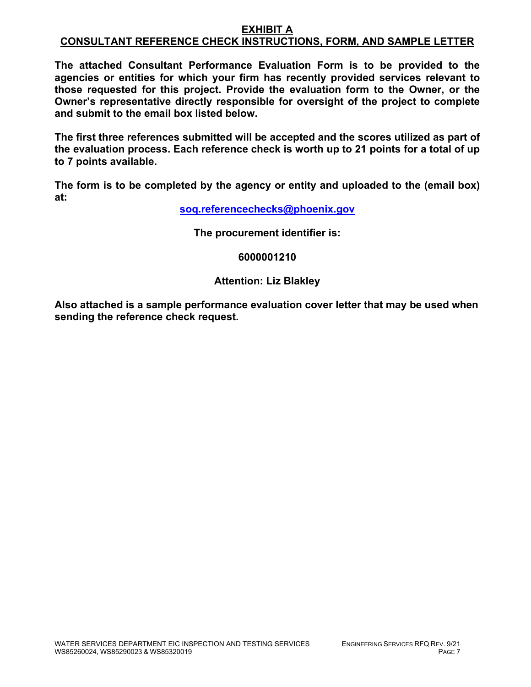# **EXHIBIT A CONSULTANT REFERENCE CHECK INSTRUCTIONS, FORM, AND SAMPLE LETTER**

**The attached Consultant Performance Evaluation Form is to be provided to the agencies or entities for which your firm has recently provided services relevant to those requested for this project. Provide the evaluation form to the Owner, or the Owner's representative directly responsible for oversight of the project to complete and submit to the email box listed below.**

**The first three references submitted will be accepted and the scores utilized as part of the evaluation process. Each reference check is worth up to 21 points for a total of up to 7 points available.**

**The form is to be completed by the agency or entity and uploaded to the (email box) at:**

**[soq.referencechecks@phoenix.gov](mailto:soq.referencechecks@phoenix.gov)**

**The procurement identifier is:**

**6000001210**

# **Attention: Liz Blakley**

**Also attached is a sample performance evaluation cover letter that may be used when sending the reference check request.**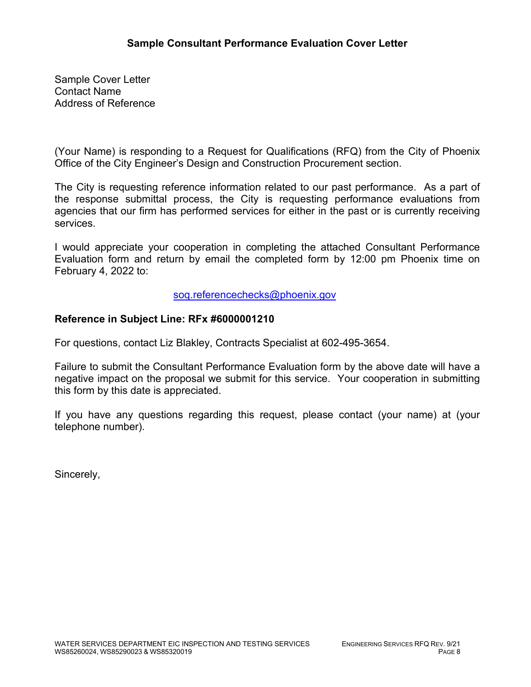Sample Cover Letter Contact Name Address of Reference

(Your Name) is responding to a Request for Qualifications (RFQ) from the City of Phoenix Office of the City Engineer's Design and Construction Procurement section.

The City is requesting reference information related to our past performance. As a part of the response submittal process, the City is requesting performance evaluations from agencies that our firm has performed services for either in the past or is currently receiving services.

I would appreciate your cooperation in completing the attached Consultant Performance Evaluation form and return by email the completed form by 12:00 pm Phoenix time on February 4, 2022 to:

[soq.referencechecks@phoenix.gov](mailto:soq.referencechecks@phoenix.gov)

# **Reference in Subject Line: RFx #6000001210**

For questions, contact Liz Blakley, Contracts Specialist at 602-495-3654.

Failure to submit the Consultant Performance Evaluation form by the above date will have a negative impact on the proposal we submit for this service. Your cooperation in submitting this form by this date is appreciated.

If you have any questions regarding this request, please contact (your name) at (your telephone number).

Sincerely,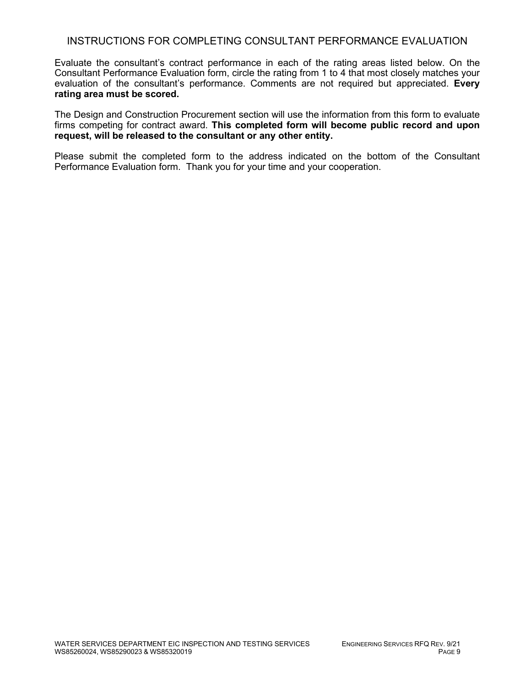# INSTRUCTIONS FOR COMPLETING CONSULTANT PERFORMANCE EVALUATION

Evaluate the consultant's contract performance in each of the rating areas listed below. On the Consultant Performance Evaluation form, circle the rating from 1 to 4 that most closely matches your evaluation of the consultant's performance. Comments are not required but appreciated. **Every rating area must be scored.** 

The Design and Construction Procurement section will use the information from this form to evaluate firms competing for contract award. **This completed form will become public record and upon request, will be released to the consultant or any other entity.**

Please submit the completed form to the address indicated on the bottom of the Consultant Performance Evaluation form. Thank you for your time and your cooperation.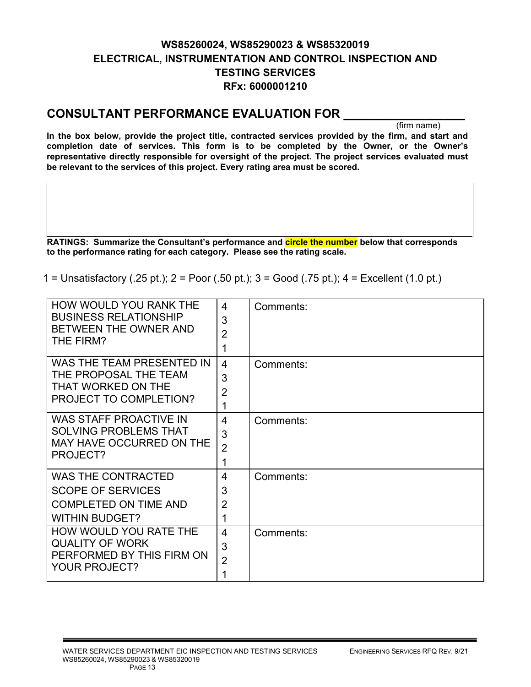# **WS85260024, WS85290023 & WS85320019 ELECTRICAL, INSTRUMENTATION AND CONTROL INSPECTION AND TESTING SERVICES RFx: 6000001210**

# **CONSULTANT PERFORMANCE EVALUATION FOR \_\_\_\_\_\_\_\_\_\_\_\_\_\_\_\_\_\_**

(firm name)

**In the box below, provide the project title, contracted services provided by the firm, and start and completion date of services. This form is to be completed by the Owner, or the Owner's representative directly responsible for oversight of the project. The project services evaluated must be relevant to the services of this project. Every rating area must be scored.** 

**RATINGS: Summarize the Consultant's performance and circle the number below that corresponds to the performance rating for each category. Please see the rating scale.**

1 = Unsatisfactory (.25 pt.); 2 = Poor (.50 pt.); 3 = Good (.75 pt.); 4 = Excellent (1.0 pt.)

| HOW WOULD YOU RANK THE<br><b>BUSINESS RELATIONSHIP</b><br>BETWEEN THE OWNER AND<br>THE FIRM?                   | 4<br>3<br>$\overline{2}$<br>1              | Comments: |
|----------------------------------------------------------------------------------------------------------------|--------------------------------------------|-----------|
| WAS THE TEAM PRESENTED IN<br>THE PROPOSAL THE TEAM<br>THAT WORKED ON THE<br><b>PROJECT TO COMPLETION?</b>      | $\overline{4}$<br>3<br>$\overline{2}$<br>1 | Comments: |
| <b>WAS STAFF PROACTIVE IN</b><br><b>SOLVING PROBLEMS THAT</b><br>MAY HAVE OCCURRED ON THE<br>PROJECT?          | 4<br>3<br>$\overline{2}$<br>1              | Comments: |
| <b>WAS THE CONTRACTED</b><br><b>SCOPE OF SERVICES</b><br><b>COMPLETED ON TIME AND</b><br><b>WITHIN BUDGET?</b> | 4<br>3<br>$\overline{2}$<br>1              | Comments: |
| HOW WOULD YOU RATE THE<br><b>QUALITY OF WORK</b><br>PERFORMED BY THIS FIRM ON<br>YOUR PROJECT?                 | 4<br>3<br>$\overline{2}$<br>1              | Comments: |